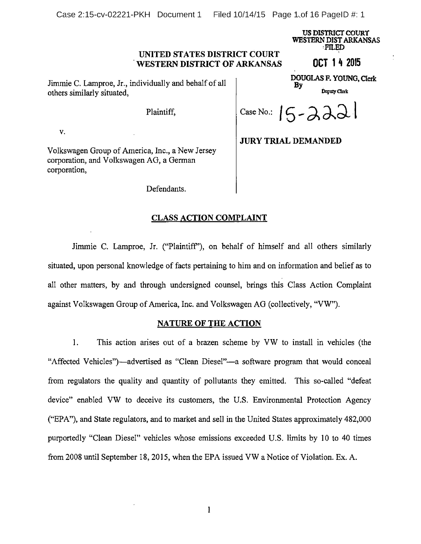Case 2:15-cv-02221-PKH Document 1 Filed 10/14/15 Page 1 of 16 PageID #: 1

US DISTRICT COURT WESTERN DISTARKANSAS 'FILED

# UNITED STATES DISTRICT COURT WESTERN DISTRICT OF ARKANSAS **OCT 14 2015**

Jimmie C. Lamproe, Jr., individually and behalf of all others similarly situated,  $D_{\text{epuy Clark}}$ 

V.

Volkswagen Group of America, Inc., a New Jersey corporation, and Volkswagen AG, <sup>a</sup> German corporation,

DOUGLAS F. YOUNG, Clerk By

Plaintiff,  $\vert$  Case No.:  $\vert$   $\vert$   $\sim$   $\lambda \lambda$ 

JURY TRIAL DEMANDED

Defendants.

# CLASS ACTION COMPLAINT

Jimmie C. Lamproe, Jr. ("Plaintiff'), on behalf of himself and all others similarly situated, upon personal knowledge of facts pertaining to him and on information and belief as to all other matters, by and through undersigned counsel, brings this Class Action Complaint against Volkswagen Group of America, Inc. and Volkswagen AG (collectively, "VW").

# NATURE OF THE ACTION

1. This action arises out of <sup>a</sup> brazen scheme by VW to install in vehicles (the "Affected Vehicles")—advertised as "Clean Diesel"—a software program that would conceal from regulators the quality and quantity of pollutants they emitted. This so-called "defeat device" enabled VW to deceive its customers, the U.S. Environmental Protection Agency ("EPA"), and State regulators, and to market and sell in the United States approximately 482,000 purportedly "Clean Diesel" vehicles whose emissions exceeded U.S. limits by <sup>10</sup> to 40 times from 2008 until September 18, 2015, when the EPA issued VW <sup>a</sup> Notice of Violation. Ex. A.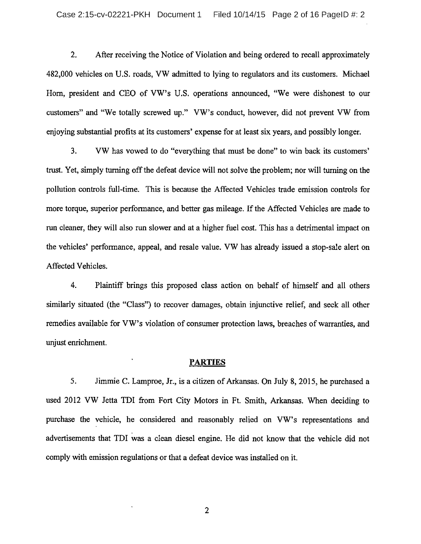2. After receiving the Notice of Violation and being ordered to recall approximately 482,000 vehicles on U.S. roads, VW admitted to lying to regulators and its customers. Michael Horn, president and CEO of VW's U.S. operations announced, "We were dishonest to our customers" and "We totally screwed up." VW's conduct, however, did not prevent VW from enjoying substantial profits at its customers' expense for at least six years, and possibly longer.

3. VW has vowed to do "everything that must be done" to win back its customers' trust. Yet, simply turning off the defeat device will not solve the problem; nor will turning on the pollution controls full-time. This is because the Affected Vehicles trade emission controls for more torque, superior performance, and better gas mileage. If the Affected Vehicles are made to run cleaner, they will also run slower and at <sup>a</sup> higher fuel cost. This has <sup>a</sup> detrimental impact on the vehicles' performance, appeal, and resale value. VW has already issued <sup>a</sup> stop-sale alert on Affected Vehicles.

4. Plaintiff brings this proposed class action on behalf of himself and all others similarly situated (the "Class") to recover damages, obtain injunctive relief, and seek all other remedies available for VW's violation of consumer protection laws, breaches of warranties, and unjust enrichment.

#### PARTIES

5. Jimmie C. Lamproe, Jr., is <sup>a</sup> citizen of Arkansas. On July 8, 2015, he purchased <sup>a</sup> used <sup>2012</sup> VW Jetta TDI from Fort City Motors in Ft. Smith, Arkansas. When deciding to purchase the vehicle, he considered and reasonably relied on VW's representations and advertisements that TDI was <sup>a</sup> clean diesel engine. He did not know that the vehicle did not comply with emission regulations or that <sup>a</sup> defeat device was installed on it.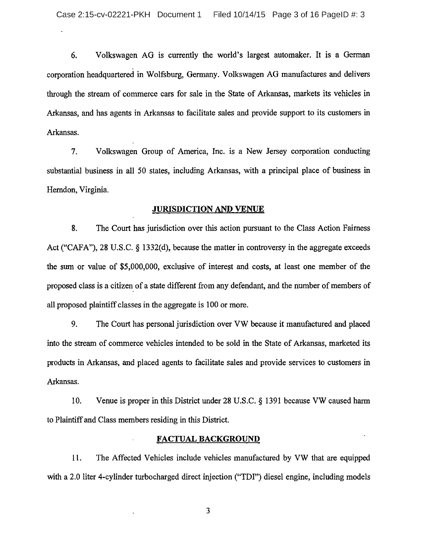6. Volkswagen AG is currently the world's largest automaker. It is <sup>a</sup> German corporation headquartered in Wolfsburg, Germany. Volkswagen AG manufactures and delivers through the stream of commerce cars for sale in the State of Arkansas, markets its vehicles in Arkansas, and has agents in Arkansas to facilitate sales and provide support to its customers in Arkansas.

7. Volkswagen Group of America, Inc. is <sup>a</sup> New Jersey corporation conducting substantial business in all <sup>50</sup> states, including Arkansas, with <sup>a</sup> principal place of business in Herndon, Virginia.

### JURISDICTION AND VENUE

8. The Court has jurisdiction over this action pursuant to the Class Action Fairness Act ("CAFA"), 28 U.S.C.  $\S$  1332(d), because the matter in controversy in the aggregate exceeds the sum or value of \$5,000,000, exclusive of interest and costs, at least one member of the proposed class is <sup>a</sup> citizen of <sup>a</sup> state different from any defendant, and the number of members of all proposed plaintiff classes in the aggregate is <sup>100</sup> or more.

9. The Court has personal jurisdiction over VW because it manufactured and placed into the stream of commerce vehicles intended to be sold in the State of Arkansas, marketed its products in Arkansas, and placed agents to facilitate sales and provide services to customers in Arkansas.

10. Venue is proper in this District under  $28 \text{ U.S.C.}$  § 1391 because VW caused harm to Plaintiff and Class members residing in this District.

### FACTUAL BACKGROUND

11. The Affected Vehicles include vehicles manufactured by VW that are equipped with a 2.0 liter 4-cylinder turbocharged direct injection ("TDI") diesel engine, including models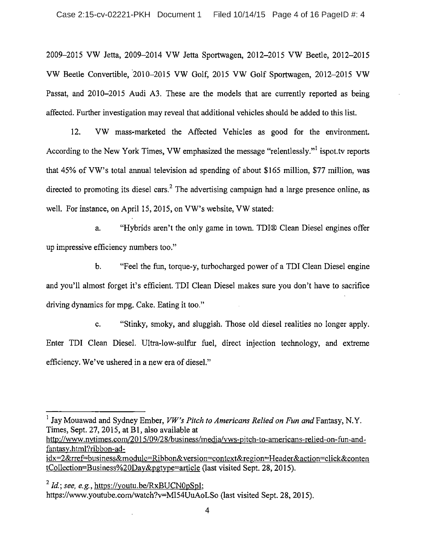2009-2015 VW Jetta, 2009-2014 VW Jetta Sportwagen, 2012-2015 VW Beetle, 2012-2015 VW Beetle Convertible, 2010-2015 VW Golf, 2015 VW Golf Sportwagen, 2012-2015 VW Passat, and 2010-2015 Audi A3. These are the models that are currently reported as being affected. Further investigation may reveal that additional vehicles should be added to this list.

12. VW mass-marketed the Affected Vehicles as good for the environment. According to the New York Times, VW emphasized the message "relentlessly."<sup>1</sup> ispot.tv reports that 45% of VW's total annual television ad spending of about \$165 million, \$77 million, was directed to promoting its diesel cars.<sup>2</sup> The advertising campaign had a large presence online, as well. For instance, on April 15, 2015, on VW's website, VW stated:

a. "Hybrids aren't the only game in town. TDI® Clean Diesel engines offer up impressive efficiency numbers too."

b. "Feel the fun, torque-y, turbocharged power of <sup>a</sup> TDI Clean Diesel engine and you'll almost forget it's efficient. TDI Clean Diesel makes sure you don't have to sacrifice driving dynamics for mpg. Cake. Eating it too."

c. "Stinky, smoky, and sluggish. Those old diesel realities no longer apply. Enter TDI Clean Diesel. Ultra-low-sulfur fuel, direct injection technology, and extreme efficiency. We've ushered in <sup>a</sup> new era of diesel."

<sup>1</sup> Jay Mouawad and Sydney Ember, *VW's Pitch to Americans Relied on Fun and* Fantasy, N.Y. Times, Sept. 27, 2015, at Bl, also available at

http://www.nytimes.com/2015/09/28/business/rnedia/vws-pitch-to-americans-relied-on-fun-andfantasy.html?ribbon-ad-

idx=2&rref=business&module=Ribbon&version=context&region=Header&action=click&conten tCollection=Business%20Day&pgtype=article (last visited Sept. 28, 2015).

 $^2$  Id.; see, e.g., https://youtu.be/ $\operatorname{RxBUCNOpSpl};$ https://www.youtube.com/watch?v=M154UuAoLSo (last visited Sept. 28, 2015).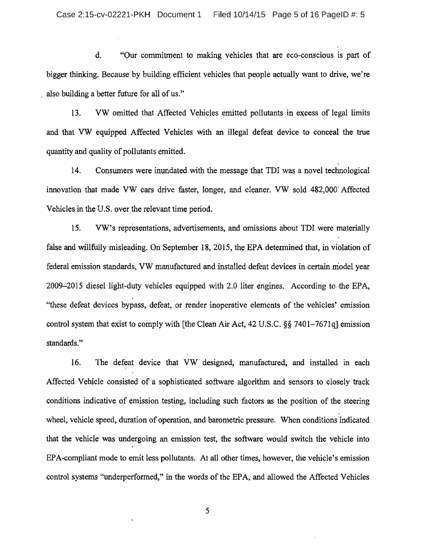d. "Our commitment to making vehicles that are eco-conscious is part of bigger thinking. Because by building efficient vehicles that people actually want to drive, we're also building a better future for all of us."

13. VW omitted that Affected Vehicles emitted pollutants in excess of legal limits and that VW equipped Affected Vehicles with an illegal defeat device to conceal the true quantity and quality of pollutants emitted.

14. Consumers were inundated with the message that TDI was <sup>a</sup> novel technological innovation that made VW cars drive faster, longer, and cleaner. VW sold 482,000 Affected Vehicles in the U.S. over the relevant time period.

15. VW's representations, advertisements, and omissions about TDI were materially false and willfully misleading. On September 18, 2015, the EPA determined that, in viblation of federal emission standards, VW manufactured and installed defeat devices in certain niodel year 2009-2015 diesel light-duty vehicles equipped with 2.0 liter engines. According to the EPA, "these defeat devices bypass, defeat, or render inoperative elements of the vehicles' emission control system that exist to comply with [the Clean Air Act,  $42 \text{ U.S.C.}$   $\S\S$  7401-7671q] emission standards."

16. The defeat device that VW designed, manufactured, and installed in each Affected Vehicle consisted of <sup>a</sup> sophisticated software algorithm and sensors to closely track conditions indicative of emission testing, including such factors as the position of the steering wheel, vehicle speed, duration of operation, and barometric pressure. When conditions indicated that the vehicle was undergoing an emission test, the software would switch the vehicle into EPA-compliant mode to emit less pollutants. At all other times, however, the vehicle's emission control systems "underperformed," in the words of the EPA, and allowed the Affected Vehicles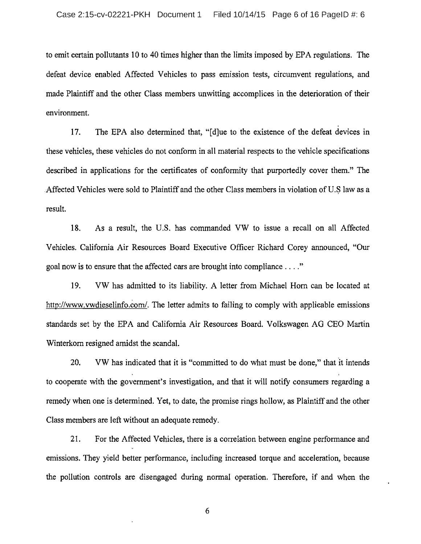to emit certain pollutants <sup>10</sup> to 40 times higher than the limits imposed by EPA regulations. The defeat device enabled Affected Vehicles to pass emission tests, circumvent regulations, and made Plaintiff and the other Class members unwitting accomplices in the deterioration of their environment.

17. The EPA also determined that, "[d]ue to the existence of the defeat devices in these vehicles, these vehicles do not conform in all material respects to the vehicle specifications described in applications for the certificates of conformity that purportedly cover them." The Affected Vehicles were sold to Plaintiff and the other Class members in violation of U.S law as a result.

18. As <sup>a</sup> result, the U.S. has commanded VW to issue <sup>a</sup> recall on all Affected Vehicles. California Air Resources Board Executive Officer Richard Corey announced, "Our goal now is to ensure that the affected cars are brought into compliance..

19. VW has admitted to its liability. A letter from Michael Horn can be located at http://www.vwdieselinfo.com/. The letter admits to failing to comply with applicable emissions standards set by the EPA and California Air Resources Board. Volkswagen AG CEO Martin Winterkorn resigned amidst the scandal.

20. VW has indicated that it is "committed to do what must be done," that it intends to cooperate with the government's investigation, and that it will notify consumers regarding <sup>a</sup> remedy when one is determined. Yet, to date, the promise rings hollow, as Plaintiff and the other Class members are left without an adequate remedy.

21. For the Affected Vehicles, there is a correlation between engine performance and emissions. They yield better performance, including increased torque and acceleration, because the pollution controls are disengaged during normal operation. Therefore, if and when the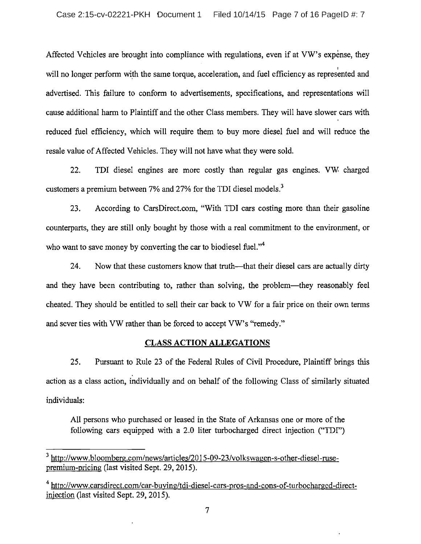Affected Vehicles are brought into compliance with regulations, even if at VW's expense, they will no longer perform with the same torque, acceleration, and fuel efficiency as represented and advertised. This failure to conform to advertisements, specifications, and representations will cause additional harm to Plaintiff and the other Class members. They will have slower cars with reduced fuel efficiency, which will require them to buy more diesel fuel and will reduce the resale value of Affected Vehicles. They will not have what they were sold.

22. TDI diesel engines are more costly than regular gas engines. VW charged customers a premium between 7% and 27% for the TDI diesel models.<sup>3</sup>

23. According to CarsDirect.com, "With TDI cars costing more than their gasoline counterparts, they are still only bought by those with <sup>a</sup> real commitment to the environment, or who want to save money by converting the car to biodiesel fuel."<sup>4</sup>

24. Now that these customers know that truth—that their diesel cars are actually dirty and they have been contributing to, rather than solving, the problem—they reasonably feel cheated. They should be entitled to sell their car back to VW for <sup>a</sup> fair price on their own terms and sever ties with VW rather than be forced to accept VW's "remedy."

# CLASS ACTION ALLEGATIONS

25. Pursuant to Rule <sup>23</sup> of the Federal Rules of Civil Procedure, Plaintiff brings this action as <sup>a</sup> class action, individually and on behalf of the following Class of similarly situated individuals:

All persons who purchased or leased in the State of Arkansas one or more of the following cars equipped with <sup>a</sup> 2.0 liter turbocharged direct injection ("TDI")

<sup>&</sup>lt;sup>3</sup> http://www.bloomberg.com/news/articles/2015-09-23/volkswagen-s-other-diesel-rusepremium-pricing (last visited Sept. 29, 2015).

<sup>&</sup>lt;sup>4</sup> http://www.carsdirect.com/car-buying/tdi-diesel-cars-pros-and-cons-of-turbocharged-directinjection (last visited Sept. 29, 2015).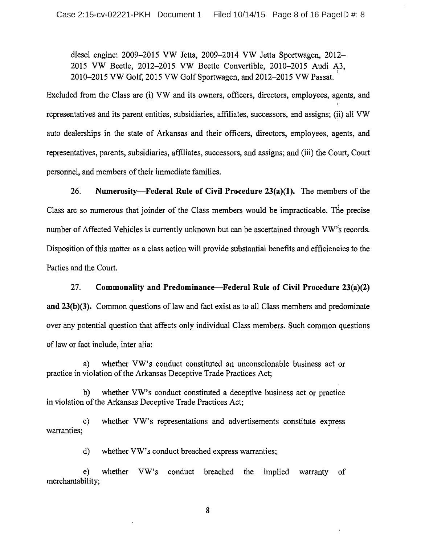diesel engine: 2009-2015 VW Jetta, 2009-2014 VW Jetta Sportwagen, 2012— <sup>2015</sup> VW Beetle, 2012-2015 VW Beetle Convertible, 2010-2015 Audi A3, 2010-2015 VW Golf, <sup>2015</sup> VW Golf Sportwagen, and 2012-2015 VW Passat.

Excluded from the Class are (i) VW and its owners, officers, directors, employees, agents, and representatives and its parent entities, subsidiaries, affiliates, successors, and assigns; (ii) all VW auto dealerships in the state of Arkansas and their officers, directors, employees, agents, and representatives, parents, subsidiaries, affiliates, successors, and assigns; and (iii) the Court, Court personnel, and members of their immediate families.

26. Numerosity—Federal Rule of Civil Procedure  $23(a)(1)$ . The members of the Class are so numerous that joinder of the Class members would be impracticable. The precise number of Affected Vehicles is currently unknown but can be ascertained through VW's records. Disposition of this matter as a class action will provide substantial benefits and efficiencies to the Parties and the Court.

27. Commonality and Predominance—Federal Rule of Civil Procedure 23(a)(2) and 23(b)(3). Common questions of law and fact exist as to all Class members and predominate over any potential question that affects only individual Class members. Such common questions of law or fact include, inter alia:

a) whether VW's conduct constituted an unconscionable business act or practice in violation of the Arkansas Deceptive Trade Practices Act;

b) whether VW's conduct constituted <sup>a</sup> deceptive business act or practice in violation of the Arkansas Deceptive Trade Practices Act;

c) whether VW's representations and advertisements constitute express warranties;

d) whether VW's conduct breached express warranties;

e) whether VW's conduct breached the implied warranty of merchantability;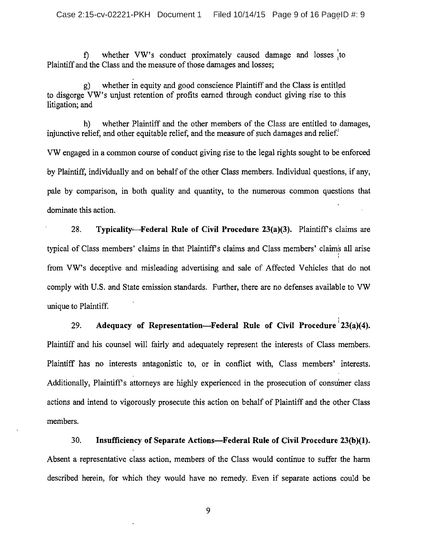f) whether VW's conduct proximately caused damage and losses to Plaintiff and the Class and the measure of those damages and losses;

whether in equity and good conscience Plaintiff and the Class is entitled to disgorge VW's unjust retention of profits earned through conduct giving rise to this litigation; and

h) whether Plaintiff and the other members of the Class are entitled to damages, injunctive relief, and other equitable relief, and the measure of such damages and relief.

VW engaged in <sup>a</sup> common course of conduct giving rise to the legal rights sought to be enforced by Plaintiff, individually and on behalf of the other Class members. Individual questions, if any, pale by comparison, in both quality and quantity, to the numerous common questions that dominate this action.

28. Typicality—Federal Rule of Civil Procedure 23(a)(3). Plaintiff's claims are typical of Class members' claims in that Plaintiff's claims and Class members' claim's all arise from VW's deceptive and misleading advertising and sale of Affected Vehicles that do not comply with U.S. and State emission standards. Further, there are no defenses available to VW unique to Plaintiff

29. Adequacy of Representation—Federal Rule of Civil Procedure  $23(a)(4)$ . Plaintiff and his counsel will fairly and adequately represent the interests of Class members. Plaintiff has no interests antagonistic to, or in conflict with, Class members' interests. Additionally, Plaintiff's attorneys are highly experienced in the prosecution of consumer class actions and intend to vigorously prosecute this action on behalf of Plaintiff and the other Class members.

30. Insufficiency of Separate Actions—Federal Rule of Civil Procedure 23(b)(1). Absent <sup>a</sup> representative class action, members of the Class would continue to suffer the harm described herein, for which they would have no remedy. Even if separate actions could be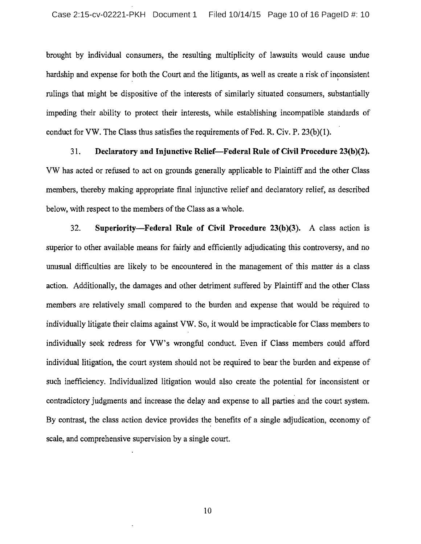brought by individual consumers, the resulting multiplicity of lawsuits would cause undue hardship and expense for both the Court and the litigants, as well as create <sup>a</sup> risk of inconsistent rulings that might be dispositive of the interests of similarly situated consumers, substantially impeding their ability to protect their interests, while establishing incompatible standards of conduct for VW. The Class thus satisfies the requirements of Fed. R. Civ. P. 23(b)(1).

31. Declaratory and Injunctive Relief—Federal Rule of Civil Procedure 23(b)(2). VW has acted or refused to act on grounds generally applicable to Plaintiff and the other Class members, thereby making appropriate final injunctive relief and declaratory relief, as described below, with respect to the members of the Class as <sup>a</sup> whole.

32. Superiority—Federal Rule of Civil Procedure 23(b)(3). A class action is superior to other available means for fairly and efficiently adjudicating this controversy, and no unusual difficulties are likely to be encountered in the management of this matter as <sup>a</sup> class action. Additionally, the damages and other detriment suffered by Plaintiff and the other Class members are relatively small compared to the burden and expense that would be required to individually litigate their claims against VW. So, it would be impracticable for Class members to individually seek redress for VW's wrongful conduct. Even if Class members could afford individual litigation, the court system should not be required to bear the burden and expense of such inefficiency. Individualized litigation would also create the potential for inconsistent or contradictory judgments and increase the delay and expense to all parties and the court system. By contrast, the class action device provides the benefits of <sup>a</sup> single adjudication, economy of scale, and comprehensive supervision by <sup>a</sup> single court.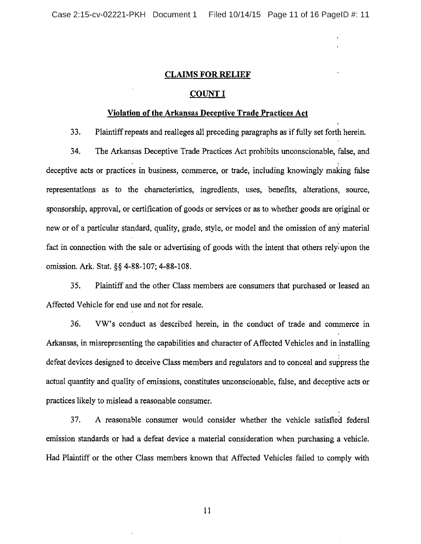### CLAIMS FOR RELIEF

### COUNT I

#### Violation of the Arkansas Deceptive Trade Practices Act

33. Plaintiffrepeats and realleges all preceding paragraphs as iffully set forth herein.

34. The Arkansas Deceptive Trade Practices Act prohibits unconscionable, false, and deceptive acts or practices in business, commerce, or trade, including knowingly making false representations as to the characteristics, ingredients, uses, benefits, alterations, source, sponsorship, approval, or certification of goods or services or as to whether goods are original or new or of a particular standard, quality, grade, style, or model and the omission of any material fact in connection with the sale or advertising of goods with the intent that others rely: upon the omission. Ark. Stat. §§ 4-88-107; 4-88-108.

35. Plaintiff and the other Class members are consumers that purchased or leased an Affected Vehicle for end use and not for resale.

36. VW's conduct as described herein, in the conduct of trade and commerce in Arkansas, in misrepresenting the capabilities and character of Affected Vehicles and in installing defeat devices designed to deceive Class members and regulators and to conceal and suppress the actual quantity and quality of emissions, constitutes unconscionable, false, and deceptive acts or practices likely to mislead a reasonable consumer.

37. A reasonable consumer would consider whether the vehicle satisfied federal emission standards or had a defeat device a material consideration when purchasing <sup>a</sup> vehicle. Had Plaintiff or the other Class members known that Affected Vehicles failed to comply with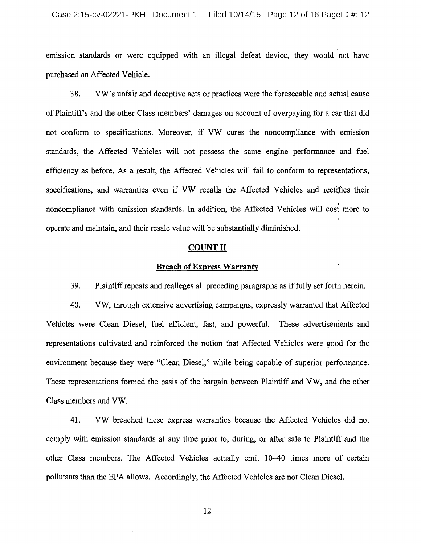emission standards or were equipped with an illegal defeat device, they would not have purchased an Affected Vehicle.

38. VW's unfair and deceptive acts or practices were the foreseeable and actual cause of Plaintiff's and the other Class members' damages on account of overpaying for <sup>a</sup> car that did not conform to specifications. Moreover, if VW cures the noncompliance with emission standards, the Affected Vehicles will not possess the same engine performance and fuel efficiency as before. As <sup>a</sup> result, the Affected Vehicles will fail to conform to representations, specifications, and warranties even if VW recalls the Affected Vehicles and rectifies their noncompliance with emission standards. In addition, the Affected Vehicles will cosi more to operate and maintain, and their resale value will be substantially diminished.

### COUNT II

#### Breach of Express Warranty

39. Plaintiffrepeats and realleges all preceding paragraphs as iffully set forth herein.

40. VW, through extensive advertising campaigns, expressly warranted that Affected Vehicles were Clean Diesel, fuel efficient, fast, and powerful. These advertisements and representations cultivated and reinforced the notion that Affected Vehicles were good for the environment because they were "Clean Diesel," while being capable of superior performance. These representations formed the basis of the bargain between Plaintiff and VW, and the other Class members and VW.

41. VW breached these express warranties because the Affected Vehicles did not comply with emission standards at any time prior to, during, or after sale to Plaintiff and the other Class members. The Affected Vehicles actually emit 10-40 times more of certain pollutants than the EPA allows. Accordingly, the Affected Vehicles are not Clean Diesel.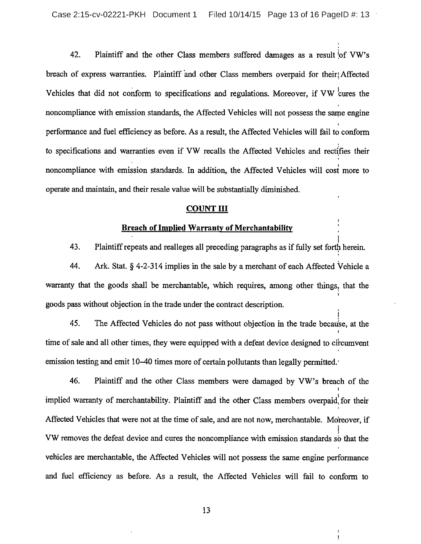42. Plaintiff and the other Class members suffered damages as a result of VW's breach of express warranties. Plaintiff and other Class members overpaid for their Affected Vehicles that did not conform to specifications and regulations. Moreover, if VW cures the noncompliance with emission standards, the Affected Vehicles will not possess the same engine performance and fuel efficiency as before. As <sup>a</sup> result, the Affected Vehicles will fail to conform to specifications and warranties even if VW recalls the Affected Vehicles and rectifies their noncompliance with emission standards. In addition, the Affected Vehicles will cosi more to operate and maintain, and their resale value will be substantially diminished.

#### **COUNT III**

# Breach of Implied Warranty of Merchantability

43. Plaintiff repeats and realleges all preceding paragraphs as if fully set forth herein.

1

 $\mathbf{I}$ 

44. Ark. Stat.  $\S$  4-2-314 implies in the sale by a merchant of each Affected Vehicle a warranty that the goods shall be merchantable, which requires, among other things, that the goods pass without objection in the trade under the contract description.

45. The Affected Vehicles do not pass without objection in the trade because, at the time of sale and all other times, they were equipped with a defeat device designed to circumvent emission testing and emit 10-40 times more of certain pollutants than legally permitted.

46. Plaintiff and the other Class members were damaged by VW's breach of the implied warranty of merchantability. Plaintiff and the other Class members overpaid, for their Affected Vehicles that were not at the time of sale, and are not now, merchantable. Moreover, if VW removes the defeat device and cures the noncompliance with emission standards so that the vehicles are merchantable, the Affected Vehicles will not possess the same engine performance and fuel efficiency as before. As <sup>a</sup> result, the Affected Vehicles will fail to conform to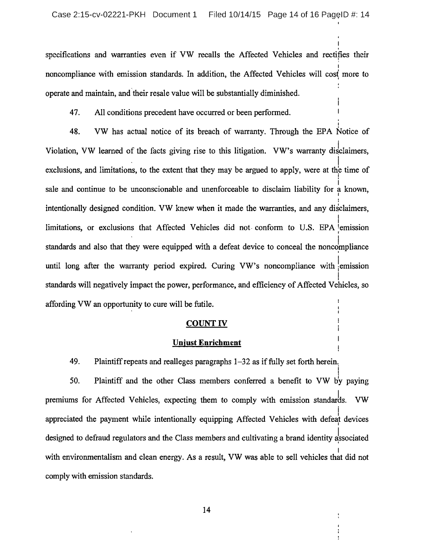specifications and warranties even if VW recalls the Affected Vehicles and rectifies their noncompliance with emission standards. In addition, the Affected Vehicles will cost more to operate and maintain, and their resale value will be substantially diminished.

47. All conditions precedent have occurred or been performed.

48. VW has actual notice of its breach of warranty. Through the EPA Notice of Violation, VW learned of the facts giving rise to this litigation. VW's warranty disclaimers, exclusions, and limitations, to the extent that they may be argued to apply, were at the time of sale and continue to be unconscionable and unenforceable to disclaim liability for <sup>a</sup> known, intentionally designed condition. VW knew when it made the warranties, and any disclaimers, limitations, or exclusions that Affected Vehicles did not conform to U.S. EPA emission standards and also that they were equipped with a defeat device to conceal the noncompliance until long after the warranty period expired. Curing VW's noncompliance with emission 1 standards will negatively impact the power, performance, and efficiency of Affected Vehicles, so affording VW an opportunity to cure will be futile.

#### COUNT IV

### Unjust Enrichment

49. Plaintiff repeats and realleges paragraphs  $1-32$  as if fully set forth herein.

50. Plaintiff and the other Class members conferred <sup>a</sup> benefit to VW by paying premiums for Affected Vehicles, expecting them to comply with emission standards. VW appreciated the payment while intentionally equipping Affected Vehicles with defeat devices designed to defraud regulators and the Class members and cultivating a brand identity associated with environmentalism and clean energy. As <sup>a</sup> result, VW was able to sell vehicles that did not comply with emission standards.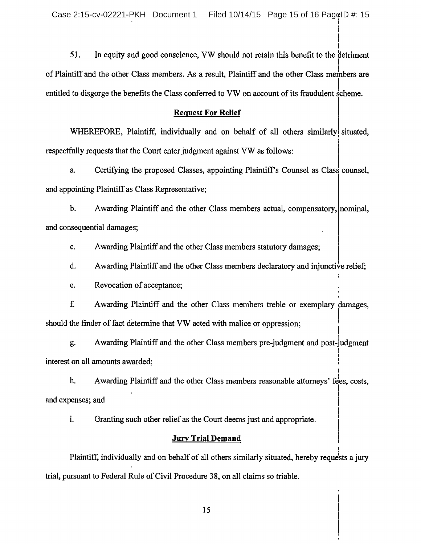51. In equity and good conscience, VW should not retain this benefit to the detriment of Plaintiff and the other Class members. As <sup>a</sup> result, Plaintiff and the other Class meinbers are entitled to disgorge the benefits the Class conferred to VW on account of its fraudulent scheme.

### Request For Relief

WHEREFORE, Plaintiff, individually and on behalf of all others similarly situated, respectfully requests that the Court enter judgment against VW as follows:

a. Certifying the proposed Classes, appointing Plaintiff's Counsel as Class counsel, and appointing Plaintiff as Class Representative;

b. Awarding Plaintiff and the other Class members actual, compensatory, nominal, and consequential damages;

c. Awarding Plaintiff and the other Class members statutory damages;

d. Awarding Plaintiff and the other Class members declaratory and injunctive relief;

e. Revocation of acceptance;

f. Awarding Plaintiff and the other Class members treble or exemplary damages, should the finder of fact determine that VW acted with malice or oppression;

g. Awarding Plaintiff and the other Class members pre-judgment and post-judgment interest on all amounts awarded;

h. Awarding Plaintiff and the other Class members reasonable attorneys' fees, costs, and expenses; and

i. Granting such other relief as the Court deems just and appropriate.

# Jury Trial Demand

Plaintiff, individually and on behalf of all others similarly situated, hereby requests a jury trial, pursuant to Federal Rule of Civil Procedure 38, on all claims so triable.